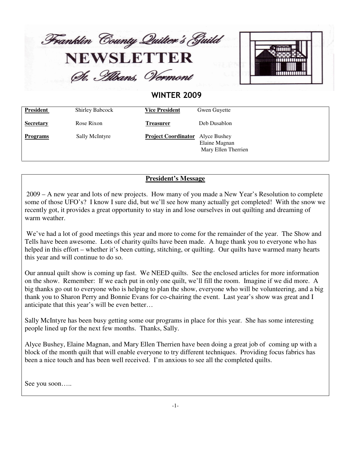

St. Albans, Vermont



### **WINTER 2009**

| <b>President</b> | <b>Shirley Babcock</b> | <b>Vice President</b>      | Gwen Guyette                                         |
|------------------|------------------------|----------------------------|------------------------------------------------------|
| <b>Secretary</b> | Rose Rixon             | <b>Treasurer</b>           | Deb Dusablon                                         |
| <b>Programs</b>  | Sally McIntyre         | <b>Project Coordinator</b> | Alyce Bushey<br>Elaine Magnan<br>Mary Ellen Therrien |

#### **President's Message**

2009 – A new year and lots of new projects. How many of you made a New Year's Resolution to complete some of those UFO's? I know I sure did, but we'll see how many actually get completed! With the snow we recently got, it provides a great opportunity to stay in and lose ourselves in out quilting and dreaming of warm weather.

We've had a lot of good meetings this year and more to come for the remainder of the year. The Show and Tells have been awesome. Lots of charity quilts have been made. A huge thank you to everyone who has helped in this effort – whether it's been cutting, stitching, or quilting. Our quilts have warmed many hearts this year and will continue to do so.

Our annual quilt show is coming up fast. We NEED quilts. See the enclosed articles for more information on the show. Remember: If we each put in only one quilt, we'll fill the room. Imagine if we did more. A big thanks go out to everyone who is helping to plan the show, everyone who will be volunteering, and a big thank you to Sharon Perry and Bonnie Evans for co-chairing the event. Last year's show was great and I anticipate that this year's will be even better…

Sally McIntyre has been busy getting some our programs in place for this year. She has some interesting people lined up for the next few months. Thanks, Sally.

Alyce Bushey, Elaine Magnan, and Mary Ellen Therrien have been doing a great job of coming up with a block of the month quilt that will enable everyone to try different techniques. Providing focus fabrics has been a nice touch and has been well received. I'm anxious to see all the completed quilts.

See you soon…..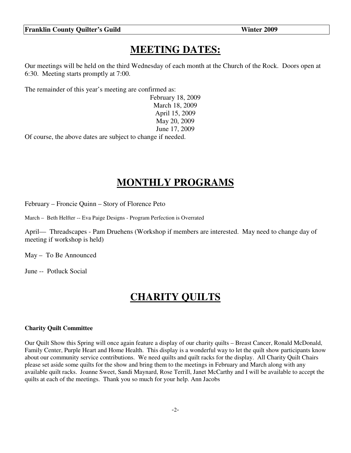### **MEETING DATES:**

Our meetings will be held on the third Wednesday of each month at the Church of the Rock. Doors open at 6:30. Meeting starts promptly at 7:00.

The remainder of this year's meeting are confirmed as:

February 18, 2009 March 18, 2009 April 15, 2009 May 20, 2009 June 17, 2009

Of course, the above dates are subject to change if needed.

### **MONTHLY PROGRAMS**

February – Froncie Quinn – Story of Florence Peto

March – Beth Helfter -- Eva Paige Designs - Program Perfection is Overrated

April— Threadscapes - Pam Druehens (Workshop if members are interested. May need to change day of meeting if workshop is held)

May – To Be Announced

June -- Potluck Social

### **CHARITY QUILTS**

#### **Charity Quilt Committee**

Our Quilt Show this Spring will once again feature a display of our charity quilts – Breast Cancer, Ronald McDonald, Family Center, Purple Heart and Home Health. This display is a wonderful way to let the quilt show participants know about our community service contributions. We need quilts and quilt racks for the display. All Charity Quilt Chairs please set aside some quilts for the show and bring them to the meetings in February and March along with any available quilt racks. Joanne Sweet, Sandi Maynard, Rose Terrill, Janet McCarthy and I will be available to accept the quilts at each of the meetings. Thank you so much for your help. Ann Jacobs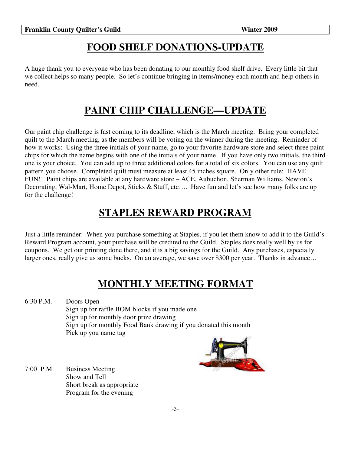## **FOOD SHELF DONATIONS-UPDATE**

A huge thank you to everyone who has been donating to our monthly food shelf drive. Every little bit that we collect helps so many people. So let's continue bringing in items/money each month and help others in need.

## **PAINT CHIP CHALLENGE—UPDATE**

Our paint chip challenge is fast coming to its deadline, which is the March meeting. Bring your completed quilt to the March meeting, as the members will be voting on the winner during the meeting. Reminder of how it works: Using the three initials of your name, go to your favorite hardware store and select three paint chips for which the name begins with one of the initials of your name. If you have only two initials, the third one is your choice. You can add up to three additional colors for a total of six colors. You can use any quilt pattern you choose. Completed quilt must measure at least 45 inches square. Only other rule: HAVE FUN!! Paint chips are available at any hardware store – ACE, Aubuchon, Sherman Williams, Newton's Decorating, Wal-Mart, Home Depot, Sticks & Stuff, etc.... Have fun and let's see how many folks are up for the challenge!

# **STAPLES REWARD PROGRAM**

Just a little reminder: When you purchase something at Staples, if you let them know to add it to the Guild's Reward Program account, your purchase will be credited to the Guild. Staples does really well by us for coupons. We get our printing done there, and it is a big savings for the Guild. Any purchases, especially larger ones, really give us some bucks. On an average, we save over \$300 per year. Thanks in advance...

## **MONTHLY MEETING FORMAT**

6:30 P.M. Doors Open Sign up for raffle BOM blocks if you made one Sign up for monthly door prize drawing Sign up for monthly Food Bank drawing if you donated this month Pick up you name tag



7:00 P.M. Business Meeting Show and Tell Short break as appropriate Program for the evening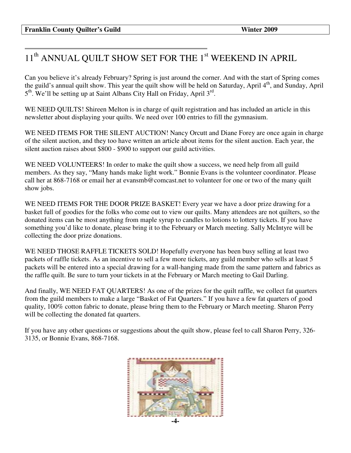## 11<sup>th</sup> ANNUAL QUILT SHOW SET FOR THE 1<sup>st</sup> WEEKEND IN APRIL

Can you believe it's already February? Spring is just around the corner. And with the start of Spring comes the guild's annual quilt show. This year the quilt show will be held on Saturday, April 4<sup>th</sup>, and Sunday, April 5<sup>th</sup>. We'll be setting up at Saint Albans City Hall on Friday, April 3<sup>rd</sup>.

WE NEED QUILTS! Shireen Melton is in charge of quilt registration and has included an article in this newsletter about displaying your quilts. We need over 100 entries to fill the gymnasium.

WE NEED ITEMS FOR THE SILENT AUCTION! Nancy Orcutt and Diane Forey are once again in charge of the silent auction, and they too have written an article about items for the silent auction. Each year, the silent auction raises about \$800 - \$900 to support our guild activities.

WE NEED VOLUNTEERS! In order to make the quilt show a success, we need help from all guild members. As they say, "Many hands make light work." Bonnie Evans is the volunteer coordinator. Please call her at 868-7168 or email her at evansmb@comcast.net to volunteer for one or two of the many quilt show jobs.

WE NEED ITEMS FOR THE DOOR PRIZE BASKET! Every year we have a door prize drawing for a basket full of goodies for the folks who come out to view our quilts. Many attendees are not quilters, so the donated items can be most anything from maple syrup to candles to lotions to lottery tickets. If you have something you'd like to donate, please bring it to the February or March meeting. Sally McIntyre will be collecting the door prize donations.

WE NEED THOSE RAFFLE TICKETS SOLD! Hopefully everyone has been busy selling at least two packets of raffle tickets. As an incentive to sell a few more tickets, any guild member who sells at least 5 packets will be entered into a special drawing for a wall-hanging made from the same pattern and fabrics as the raffle quilt. Be sure to turn your tickets in at the February or March meeting to Gail Darling.

And finally, WE NEED FAT QUARTERS! As one of the prizes for the quilt raffle, we collect fat quarters from the guild members to make a large "Basket of Fat Quarters." If you have a few fat quarters of good quality, 100% cotton fabric to donate, please bring them to the February or March meeting. Sharon Perry will be collecting the donated fat quarters.

If you have any other questions or suggestions about the quilt show, please feel to call Sharon Perry, 326- 3135, or Bonnie Evans, 868-7168.

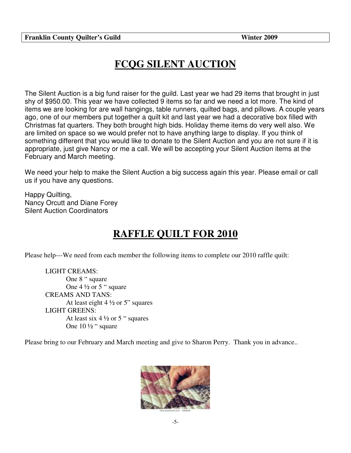# **FCQG SILENT AUCTION**

The Silent Auction is a big fund raiser for the guild. Last year we had 29 items that brought in just shy of \$950.00. This year we have collected 9 items so far and we need a lot more. The kind of items we are looking for are wall hangings, table runners, quilted bags, and pillows. A couple years ago, one of our members put together a quilt kit and last year we had a decorative box filled with Christmas fat quarters. They both brought high bids. Holiday theme items do very well also. We are limited on space so we would prefer not to have anything large to display. If you think of something different that you would like to donate to the Silent Auction and you are not sure if it is appropriate, just give Nancy or me a call. We will be accepting your Silent Auction items at the February and March meeting.

We need your help to make the Silent Auction a big success again this year. Please email or call us if you have any questions.

Happy Quilting, Nancy Orcutt and Diane Forey Silent Auction Coordinators

# **RAFFLE QUILT FOR 2010**

Please help---We need from each member the following items to complete our 2010 raffle quilt:

LIGHT CREAMS: One 8 " square One  $4\frac{1}{2}$  or 5 " square CREAMS AND TANS: At least eight  $4\frac{1}{2}$  or 5" squares LIGHT GREENS: At least six  $4\frac{1}{2}$  or 5 " squares One 10 ½ " square

Please bring to our February and March meeting and give to Sharon Perry. Thank you in advance..

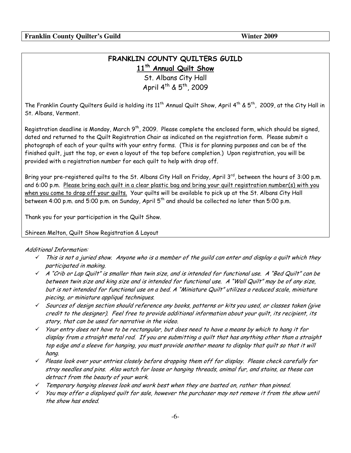### FRANKLIN COUNTY QUILTERS GUILD 11<sup>th</sup> Annual Quilt Show

St. Albans City Hall April 4th & 5th, 2009

The Franklin County Quilters Guild is holding its 11<sup>th</sup> Annual Quilt Show, April 4<sup>th</sup> & 5<sup>th</sup>, 2009, at the City Hall in St. Albans, Vermont.

Registration deadline is Monday, March 9<sup>th</sup>, 2009. Please complete the enclosed form, which should be signed, dated and returned to the Quilt Registration Chair as indicated on the registration form. Please submit a photograph of each of your quilts with your entry forms. (This is for planning purposes and can be of the finished quilt, just the top, or even a layout of the top before completion.) Upon registration, you will be provided with a registration number for each quilt to help with drop off.

Bring your pre-registered guilts to the St. Albans City Hall on Friday, April 3rd, between the hours of 3:00 p.m. and 6:00 p.m. Please bring each quilt in a clear plastic bag and bring your quilt registration number(s) with you when you come to drop off your quilts. Your quilts will be available to pick up at the St. Albans City Hall between 4:00 p.m. and 5:00 p.m. on Sunday, April 5<sup>th</sup> and should be collected no later than 5:00 p.m.

Thank you for your participation in the Quilt Show.

#### Shireen Melton, Quilt Show Registration & Layout

#### **Additional Information:**

- $\checkmark$  This is not a juried show. Anyone who is a member of the quild can enter and display a quilt which they participated in making.
- $\checkmark$  A "Crib or Lap Quilt" is smaller than twin size, and is intended for functional use. A "Bed Quilt" can be between twin size and king size and is intended for functional use. A "Wall Quilt" may be of any size, but is not intended for functional use on a bed. A "Miniature Quilt" utilizes a reduced scale, miniature piecing, or miniature appliqué techniques.
- $\checkmark$  Sources of design section should reference any books, patterns or kits you used, or classes taken (give credit to the designer). Feel free to provide additional information about your quilt, its recipient, its story, that can be used for narrative in the video.
- $\checkmark$  Your entry does not have to be rectangular, but does need to have a means by which to hang it for display from a straight metal rod. If you are submitting a quilt that has anything other than a straight top edge and a sleeve for hanging, you must provide another means to display that quilt so that it will hang.
- $\checkmark$  Please look over your entries closely before dropping them off for display. Please check carefully for stray needles and pins. Also watch for loose or hanging threads, animal fur, and stains, as these can detract from the beauty of your work.
- $\checkmark$  Temporary hanging sleeves look and work best when they are basted on, rather than pinned.
- $\checkmark$  You may offer a displayed quilt for sale, however the purchaser may not remove it from the show until the show has ended.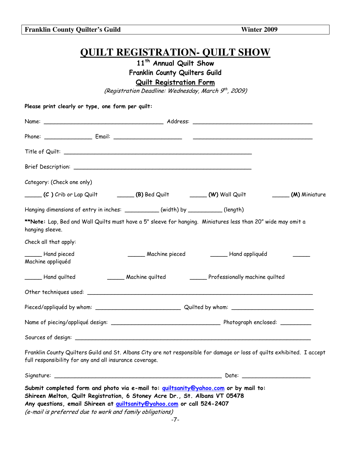**QUILT REGISTRATION- QUILT SHOW** 

11<sup>th</sup> Annual Quilt Show

Franklin County Quilters Guild

**Quilt Registration Form** 

(Registration Deadline: Wednesday, March 9<sup>th</sup>, 2009)

Please print clearly or type one form per quilt:

| Category: (Check one only)                              |                                                                                                                                                                                                                         |                                                                                                                         |               |
|---------------------------------------------------------|-------------------------------------------------------------------------------------------------------------------------------------------------------------------------------------------------------------------------|-------------------------------------------------------------------------------------------------------------------------|---------------|
|                                                         | (C ) Crib or Lap Quilt (B) Bed Quilt _________ (W) Wall Quilt                                                                                                                                                           |                                                                                                                         | (M) Miniature |
|                                                         | Hanging dimensions of entry in inches: __________(width) by _________(length)                                                                                                                                           |                                                                                                                         |               |
| hanging sleeve.                                         |                                                                                                                                                                                                                         | **Note: Lap, Bed and Wall Quilts must have a 5" sleeve for hanging. Miniatures less than 20" wide may omit a            |               |
| Check all that apply:                                   |                                                                                                                                                                                                                         |                                                                                                                         |               |
| Hand pieced<br>Machine appliquéd                        |                                                                                                                                                                                                                         | Machine pieced __________ Hand appliquéd                                                                                |               |
| ______ Hand quilted                                     |                                                                                                                                                                                                                         | Machine quilted Professionally machine quilted                                                                          |               |
|                                                         |                                                                                                                                                                                                                         |                                                                                                                         |               |
|                                                         |                                                                                                                                                                                                                         |                                                                                                                         |               |
|                                                         |                                                                                                                                                                                                                         |                                                                                                                         |               |
|                                                         |                                                                                                                                                                                                                         |                                                                                                                         |               |
| full responsibility for any and all insurance coverage. |                                                                                                                                                                                                                         | Franklin County Quilters Guild and St. Albans City are not responsible for damage or loss of quilts exhibited. I accept |               |
| Signature: _                                            |                                                                                                                                                                                                                         |                                                                                                                         |               |
|                                                         | Shireen Melton, Quilt Registration, 6 Stoney Acre Dr., St. Albans VT 05478<br>Any questions, email Shireen at <i>guiltsanity@yahoo.com</i> or call 524-2407<br>(e-mail is preferred due to work and family obligations) | Submit completed form and photo via e-mail to: quiltsanity@yahoo.com or by mail to:                                     |               |

**Franklin County Quilter's Guild** 

Winter 2009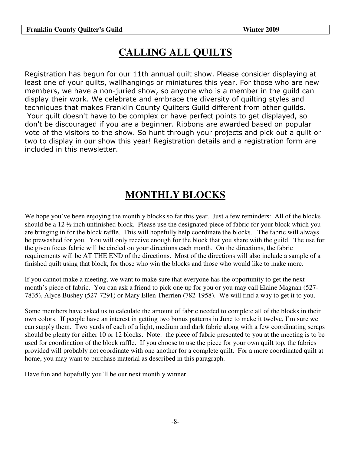# **CALLING ALL QUILTS**

Registration has begun for our 11th annual quilt show. Please consider displaying at least one of your quilts, wallhangings or miniatures this year. For those who are new members, we have a non-juried show, so anyone who is a member in the guild can display their work. We celebrate and embrace the diversity of quilting styles and techniques that makes Franklin County Quilters Guild different from other guilds. Your quilt doesn't have to be complex or have perfect points to get displayed, so don't be discouraged if you are a beginner. Ribbons are awarded based on popular vote of the visitors to the show. So hunt through your projects and pick out a quilt or two to display in our show this year! Registration details and a registration form are included in this newsletter.

# **MONTHLY BLOCKS**

We hope you've been enjoying the monthly blocks so far this year. Just a few reminders: All of the blocks should be a 12 ½ inch unfinished block. Please use the designated piece of fabric for your block which you are bringing in for the block raffle. This will hopefully help coordinate the blocks. The fabric will always be prewashed for you. You will only receive enough for the block that you share with the guild. The use for the given focus fabric will be circled on your directions each month. On the directions, the fabric requirements will be AT THE END of the directions. Most of the directions will also include a sample of a finished quilt using that block, for those who win the blocks and those who would like to make more.

If you cannot make a meeting, we want to make sure that everyone has the opportunity to get the next month's piece of fabric. You can ask a friend to pick one up for you or you may call Elaine Magnan (527- 7835), Alyce Bushey (527-7291) or Mary Ellen Therrien (782-1958). We will find a way to get it to you.

Some members have asked us to calculate the amount of fabric needed to complete all of the blocks in their own colors. If people have an interest in getting two bonus patterns in June to make it twelve, I'm sure we can supply them. Two yards of each of a light, medium and dark fabric along with a few coordinating scraps should be plenty for either 10 or 12 blocks. Note: the piece of fabric presented to you at the meeting is to be used for coordination of the block raffle. If you choose to use the piece for your own quilt top, the fabrics provided will probably not coordinate with one another for a complete quilt. For a more coordinated quilt at home, you may want to purchase material as described in this paragraph.

Have fun and hopefully you'll be our next monthly winner.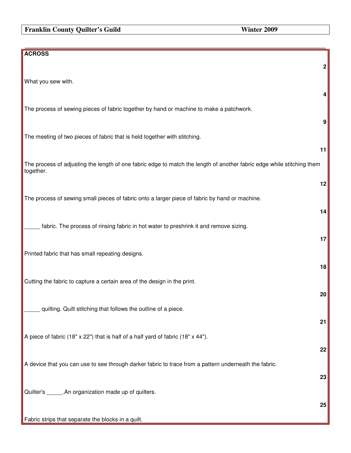### **Franklin County Quilter's Guild Winter 2009**

| <b>ACROSS</b>                                                                                                                       |                  |
|-------------------------------------------------------------------------------------------------------------------------------------|------------------|
|                                                                                                                                     | $\boldsymbol{2}$ |
| What you sew with.                                                                                                                  | 4                |
| The process of sewing pieces of fabric together by hand or machine to make a patchwork.                                             |                  |
|                                                                                                                                     | $\boldsymbol{9}$ |
| The meeting of two pieces of fabric that is held together with stitching.                                                           | 11               |
| The process of adjusting the length of one fabric edge to match the length of another fabric edge while stitching them<br>together. |                  |
|                                                                                                                                     | 12               |
| The process of sewing small pieces of fabric onto a larger piece of fabric by hand or machine.                                      | 14               |
| fabric. The process of rinsing fabric in hot water to preshrink it and remove sizing.                                               |                  |
|                                                                                                                                     | 17               |
| Printed fabric that has small repeating designs.                                                                                    | 18               |
| Cutting the fabric to capture a certain area of the design in the print.                                                            |                  |
| quilting. Quilt stitching that follows the outline of a piece.                                                                      | 20               |
|                                                                                                                                     | 21               |
| A piece of fabric (18" x 22") that is half of a half yard of fabric (18" x 44").                                                    |                  |
| A device that you can use to see through darker fabric to trace from a pattern underneath the fabric.                               | 22               |
|                                                                                                                                     | 23               |
| Quilter's ______.An organization made up of quilters.                                                                               | 25               |
| Fabric strips that separate the blocks in a quilt.                                                                                  |                  |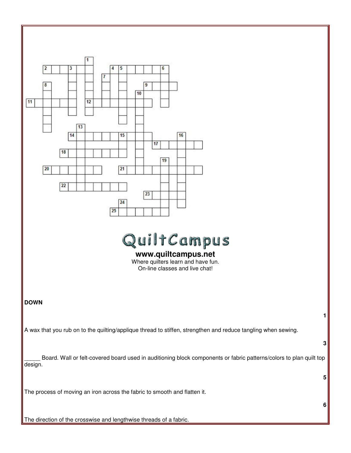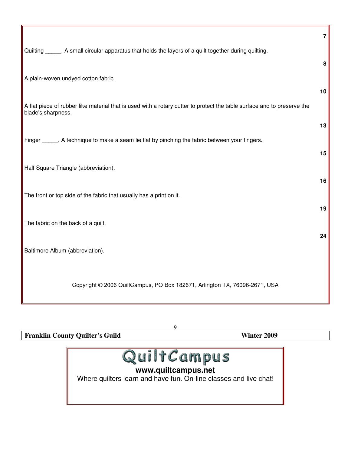|                                                                                                                                               | $\overline{7}$ |
|-----------------------------------------------------------------------------------------------------------------------------------------------|----------------|
| Quilting ______. A small circular apparatus that holds the layers of a quilt together during quilting.                                        |                |
|                                                                                                                                               | 8              |
| A plain-woven undyed cotton fabric.                                                                                                           |                |
| A flat piece of rubber like material that is used with a rotary cutter to protect the table surface and to preserve the<br>blade's sharpness. | 10             |
|                                                                                                                                               | 13             |
| Finger ______. A technique to make a seam lie flat by pinching the fabric between your fingers.                                               |                |
|                                                                                                                                               | 15             |
| Half Square Triangle (abbreviation).                                                                                                          | 16             |
| The front or top side of the fabric that usually has a print on it.                                                                           |                |
|                                                                                                                                               | 19             |
| The fabric on the back of a quilt.                                                                                                            | 24             |
| Baltimore Album (abbreviation).                                                                                                               |                |
| Copyright © 2006 QuiltCampus, PO Box 182671, Arlington TX, 76096-2671, USA                                                                    |                |

-9-

**Franklin County Quilter's Guild Winter 2009**



### **www.quiltcampus.net**

Where quilters learn and have fun. On-line classes and live chat!